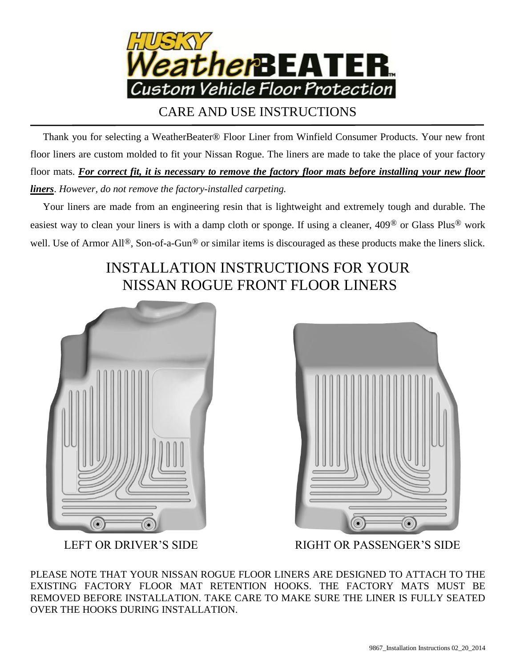

CARE AND USE INSTRUCTIONS

 Thank you for selecting a WeatherBeater® Floor Liner from Winfield Consumer Products. Your new front floor liners are custom molded to fit your Nissan Rogue. The liners are made to take the place of your factory floor mats. *For correct fit, it is necessary to remove the factory floor mats before installing your new floor liners*. *However, do not remove the factory-installed carpeting.*

 Your liners are made from an engineering resin that is lightweight and extremely tough and durable. The easiest way to clean your liners is with a damp cloth or sponge. If using a cleaner, 409® or Glass Plus® work well. Use of Armor All<sup>®</sup>, Son-of-a-Gun<sup>®</sup> or similar items is discouraged as these products make the liners slick.

## INSTALLATION INSTRUCTIONS FOR YOUR NISSAN ROGUE FRONT FLOOR LINERS





LEFT OR DRIVER'S SIDE RIGHT OR PASSENGER'S SIDE

PLEASE NOTE THAT YOUR NISSAN ROGUE FLOOR LINERS ARE DESIGNED TO ATTACH TO THE EXISTING FACTORY FLOOR MAT RETENTION HOOKS. THE FACTORY MATS MUST BE REMOVED BEFORE INSTALLATION. TAKE CARE TO MAKE SURE THE LINER IS FULLY SEATED OVER THE HOOKS DURING INSTALLATION.